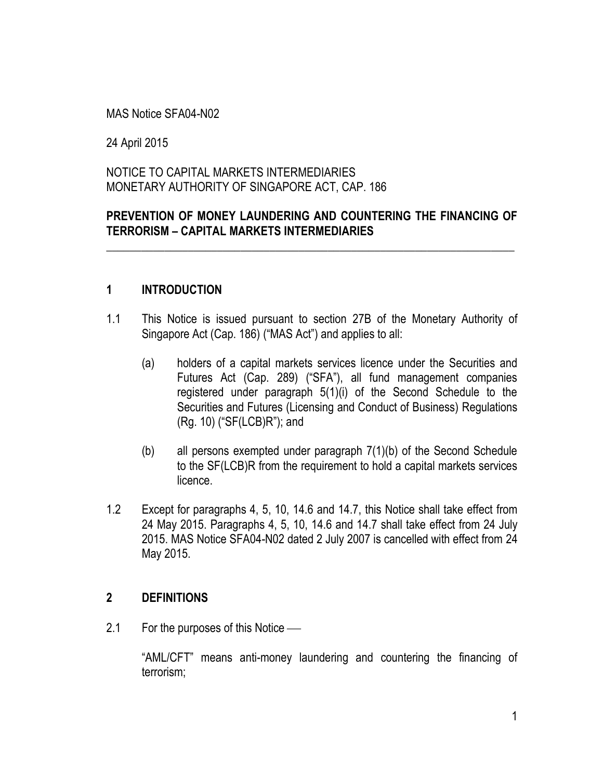MAS Notice SFA04-N02

24 April 2015

NOTICE TO CAPITAL MARKETS INTERMEDIARIES MONETARY AUTHORITY OF SINGAPORE ACT, CAP. 186

### **PREVENTION OF MONEY LAUNDERING AND COUNTERING THE FINANCING OF TERRORISM – CAPITAL MARKETS INTERMEDIARIES**

\_\_\_\_\_\_\_\_\_\_\_\_\_\_\_\_\_\_\_\_\_\_\_\_\_\_\_\_\_\_\_\_\_\_\_\_\_\_\_\_\_\_\_\_\_\_\_\_\_\_\_\_\_\_\_\_\_\_\_\_\_\_\_\_\_\_\_\_\_\_

### **1 INTRODUCTION**

- 1.1 This Notice is issued pursuant to section 27B of the Monetary Authority of Singapore Act (Cap. 186) ("MAS Act") and applies to all:
	- (a) holders of a capital markets services licence under the Securities and Futures Act (Cap. 289) ("SFA"), all fund management companies registered under paragraph 5(1)(i) of the Second Schedule to the Securities and Futures (Licensing and Conduct of Business) Regulations (Rg. 10) ("SF(LCB)R"); and
	- (b) all persons exempted under paragraph 7(1)(b) of the Second Schedule to the SF(LCB)R from the requirement to hold a capital markets services licence.
- 1.2 Except for paragraphs 4, 5, 10, 14.6 and 14.7, this Notice shall take effect from 24 May 2015. Paragraphs 4, 5, 10, 14.6 and 14.7 shall take effect from 24 July 2015. MAS Notice SFA04-N02 dated 2 July 2007 is cancelled with effect from 24 May 2015.

#### **2 DEFINITIONS**

2.1 For the purposes of this Notice —

"AML/CFT" means anti-money laundering and countering the financing of terrorism;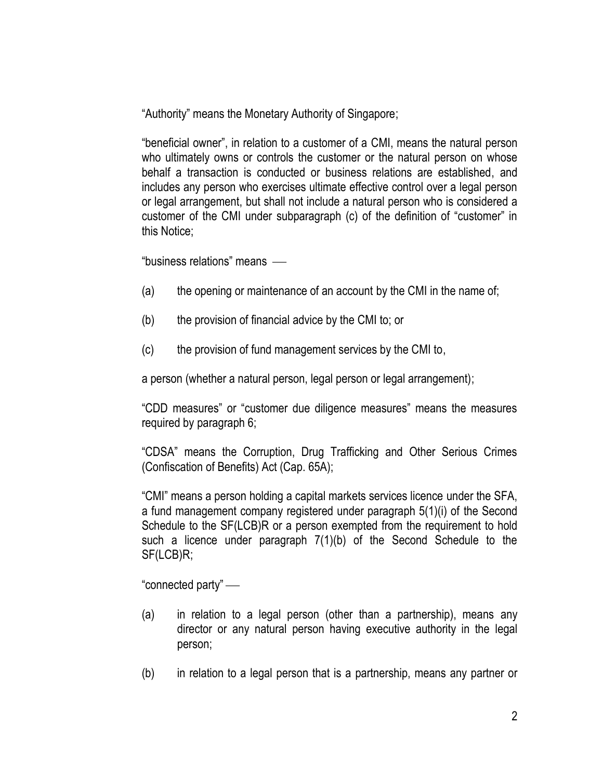"Authority" means the Monetary Authority of Singapore;

"beneficial owner", in relation to a customer of a CMI, means the natural person who ultimately owns or controls the customer or the natural person on whose behalf a transaction is conducted or business relations are established, and includes any person who exercises ultimate effective control over a legal person or legal arrangement, but shall not include a natural person who is considered a customer of the CMI under subparagraph (c) of the definition of "customer" in this Notice;

"business relations" means

- (a) the opening or maintenance of an account by the CMI in the name of;
- (b) the provision of financial advice by the CMI to; or
- (c) the provision of fund management services by the CMI to,

a person (whether a natural person, legal person or legal arrangement);

"CDD measures" or "customer due diligence measures" means the measures required by paragraph 6;

"CDSA" means the Corruption, Drug Trafficking and Other Serious Crimes (Confiscation of Benefits) Act (Cap. 65A);

"CMI" means a person holding a capital markets services licence under the SFA, a fund management company registered under paragraph 5(1)(i) of the Second Schedule to the SF(LCB)R or a person exempted from the requirement to hold such a licence under paragraph 7(1)(b) of the Second Schedule to the SF(LCB)R;

"connected party"

- (a) in relation to a legal person (other than a partnership), means any director or any natural person having executive authority in the legal person;
- (b) in relation to a legal person that is a partnership, means any partner or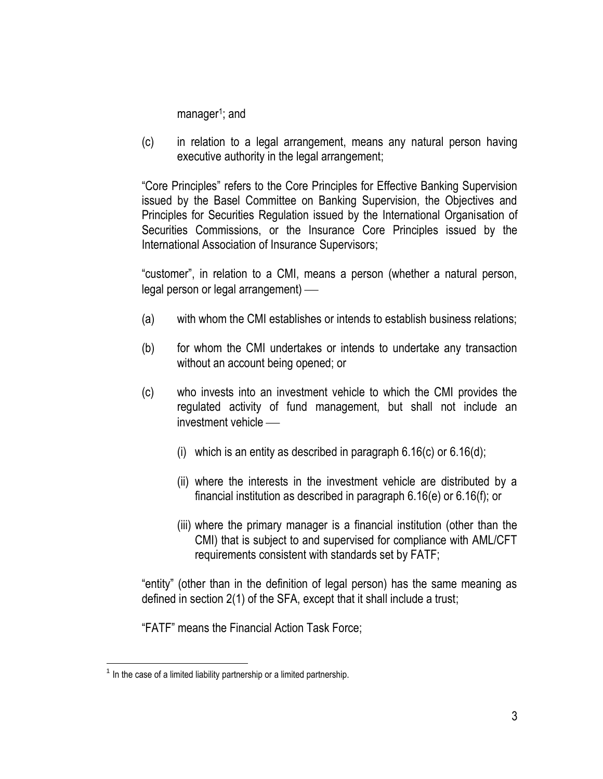manager<sup>1</sup>; and

(c) in relation to a legal arrangement, means any natural person having executive authority in the legal arrangement;

"Core Principles" refers to the Core Principles for Effective Banking Supervision issued by the Basel Committee on Banking Supervision, the Objectives and Principles for Securities Regulation issued by the International Organisation of Securities Commissions, or the Insurance Core Principles issued by the International Association of Insurance Supervisors;

"customer", in relation to a CMI, means a person (whether a natural person, legal person or legal arrangement)

- (a) with whom the CMI establishes or intends to establish business relations;
- (b) for whom the CMI undertakes or intends to undertake any transaction without an account being opened; or
- (c) who invests into an investment vehicle to which the CMI provides the regulated activity of fund management, but shall not include an investment vehicle
	- (i) which is an entity as described in paragraph  $6.16(c)$  or  $6.16(d)$ ;
	- (ii) where the interests in the investment vehicle are distributed by a financial institution as described in paragraph 6.16(e) or 6.16(f); or
	- (iii) where the primary manager is a financial institution (other than the CMI) that is subject to and supervised for compliance with AML/CFT requirements consistent with standards set by FATF;

"entity" (other than in the definition of legal person) has the same meaning as defined in section 2(1) of the SFA, except that it shall include a trust;

"FATF" means the Financial Action Task Force;

 $\overline{a}$  $1$  In the case of a limited liability partnership or a limited partnership.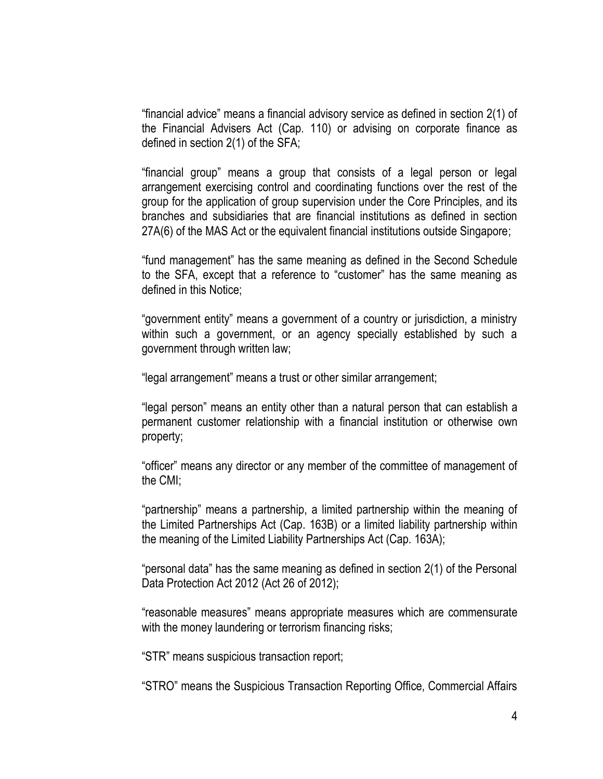"financial advice" means a financial advisory service as defined in section 2(1) of the Financial Advisers Act (Cap. 110) or advising on corporate finance as defined in section 2(1) of the SFA;

"financial group" means a group that consists of a legal person or legal arrangement exercising control and coordinating functions over the rest of the group for the application of group supervision under the Core Principles, and its branches and subsidiaries that are financial institutions as defined in section 27A(6) of the MAS Act or the equivalent financial institutions outside Singapore;

"fund management" has the same meaning as defined in the Second Schedule to the SFA, except that a reference to "customer" has the same meaning as defined in this Notice;

"government entity" means a government of a country or jurisdiction, a ministry within such a government, or an agency specially established by such a government through written law;

"legal arrangement" means a trust or other similar arrangement;

"legal person" means an entity other than a natural person that can establish a permanent customer relationship with a financial institution or otherwise own property;

"officer" means any director or any member of the committee of management of the CMI;

"partnership" means a partnership, a limited partnership within the meaning of the Limited Partnerships Act (Cap. 163B) or a limited liability partnership within the meaning of the Limited Liability Partnerships Act (Cap. 163A);

"personal data" has the same meaning as defined in section 2(1) of the Personal Data Protection Act 2012 (Act 26 of 2012);

"reasonable measures" means appropriate measures which are commensurate with the money laundering or terrorism financing risks;

"STR" means suspicious transaction report;

"STRO" means the Suspicious Transaction Reporting Office, Commercial Affairs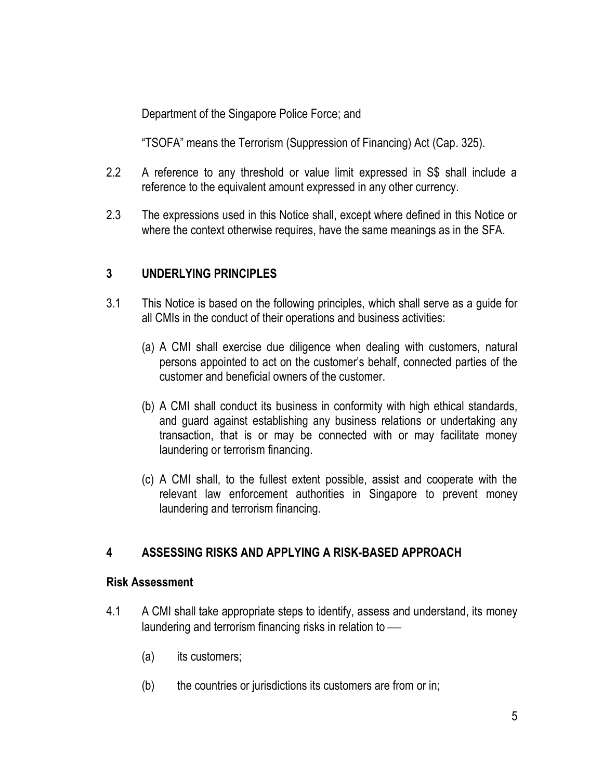Department of the Singapore Police Force; and

"TSOFA" means the Terrorism (Suppression of Financing) Act (Cap. 325).

- 2.2 A reference to any threshold or value limit expressed in S\$ shall include a reference to the equivalent amount expressed in any other currency.
- 2.3 The expressions used in this Notice shall, except where defined in this Notice or where the context otherwise requires, have the same meanings as in the SFA.

## **3 UNDERLYING PRINCIPLES**

- 3.1 This Notice is based on the following principles, which shall serve as a guide for all CMIs in the conduct of their operations and business activities:
	- (a) A CMI shall exercise due diligence when dealing with customers, natural persons appointed to act on the customer's behalf, connected parties of the customer and beneficial owners of the customer.
	- (b) A CMI shall conduct its business in conformity with high ethical standards, and guard against establishing any business relations or undertaking any transaction, that is or may be connected with or may facilitate money laundering or terrorism financing.
	- (c) A CMI shall, to the fullest extent possible, assist and cooperate with the relevant law enforcement authorities in Singapore to prevent money laundering and terrorism financing.

## **4 ASSESSING RISKS AND APPLYING A RISK-BASED APPROACH**

### **Risk Assessment**

- 4.1 A CMI shall take appropriate steps to identify, assess and understand, its money laundering and terrorism financing risks in relation to
	- (a) its customers;
	- (b) the countries or jurisdictions its customers are from or in;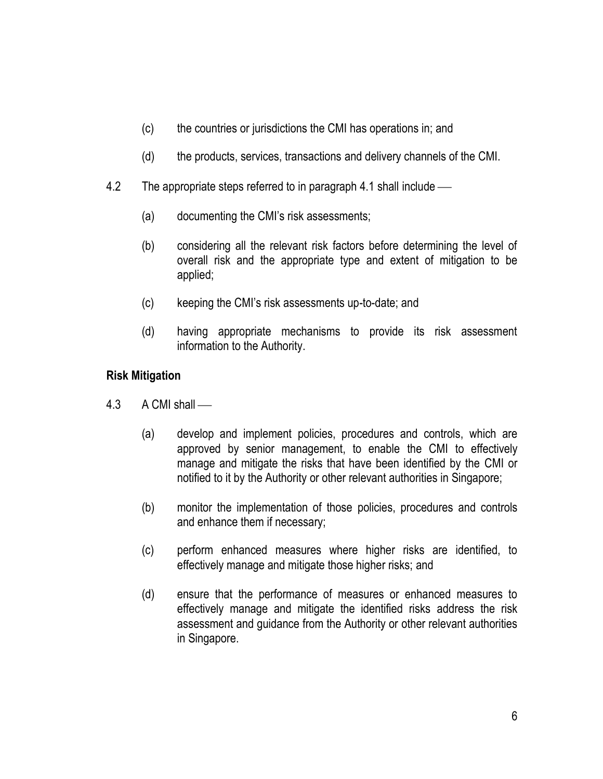- (c) the countries or jurisdictions the CMI has operations in; and
- (d) the products, services, transactions and delivery channels of the CMI.
- 4.2 The appropriate steps referred to in paragraph 4.1 shall include
	- (a) documenting the CMI's risk assessments;
	- (b) considering all the relevant risk factors before determining the level of overall risk and the appropriate type and extent of mitigation to be applied;
	- (c) keeping the CMI's risk assessments up-to-date; and
	- (d) having appropriate mechanisms to provide its risk assessment information to the Authority.

### **Risk Mitigation**

- 4.3 A CMI shall
	- (a) develop and implement policies, procedures and controls, which are approved by senior management, to enable the CMI to effectively manage and mitigate the risks that have been identified by the CMI or notified to it by the Authority or other relevant authorities in Singapore;
	- (b) monitor the implementation of those policies, procedures and controls and enhance them if necessary;
	- (c) perform enhanced measures where higher risks are identified, to effectively manage and mitigate those higher risks; and
	- (d) ensure that the performance of measures or enhanced measures to effectively manage and mitigate the identified risks address the risk assessment and guidance from the Authority or other relevant authorities in Singapore.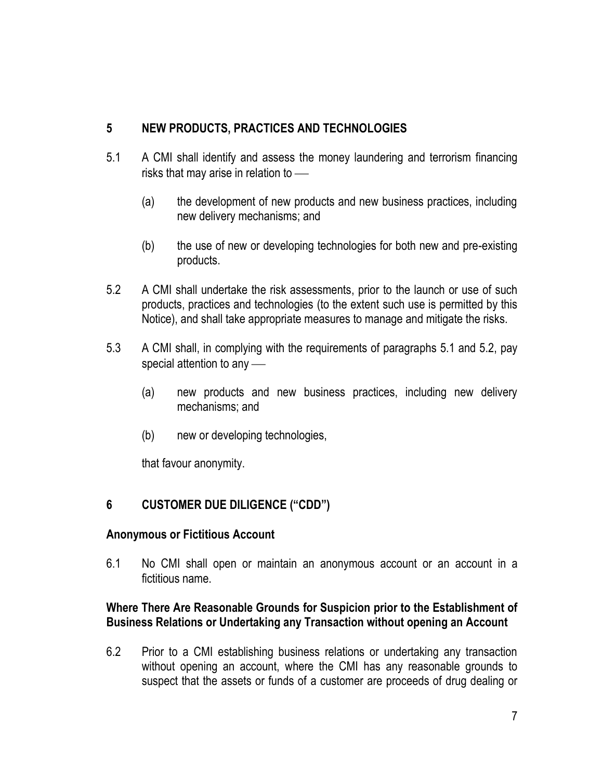# **5 NEW PRODUCTS, PRACTICES AND TECHNOLOGIES**

- 5.1 A CMI shall identify and assess the money laundering and terrorism financing risks that may arise in relation to
	- (a) the development of new products and new business practices, including new delivery mechanisms; and
	- (b) the use of new or developing technologies for both new and pre-existing products.
- 5.2 A CMI shall undertake the risk assessments, prior to the launch or use of such products, practices and technologies (to the extent such use is permitted by this Notice), and shall take appropriate measures to manage and mitigate the risks.
- 5.3 A CMI shall, in complying with the requirements of paragraphs 5.1 and 5.2, pay special attention to any -
	- (a) new products and new business practices, including new delivery mechanisms; and
	- (b) new or developing technologies,

that favour anonymity.

## **6 CUSTOMER DUE DILIGENCE ("CDD")**

### **Anonymous or Fictitious Account**

6.1 No CMI shall open or maintain an anonymous account or an account in a fictitious name.

### **Where There Are Reasonable Grounds for Suspicion prior to the Establishment of Business Relations or Undertaking any Transaction without opening an Account**

6.2 Prior to a CMI establishing business relations or undertaking any transaction without opening an account, where the CMI has any reasonable grounds to suspect that the assets or funds of a customer are proceeds of drug dealing or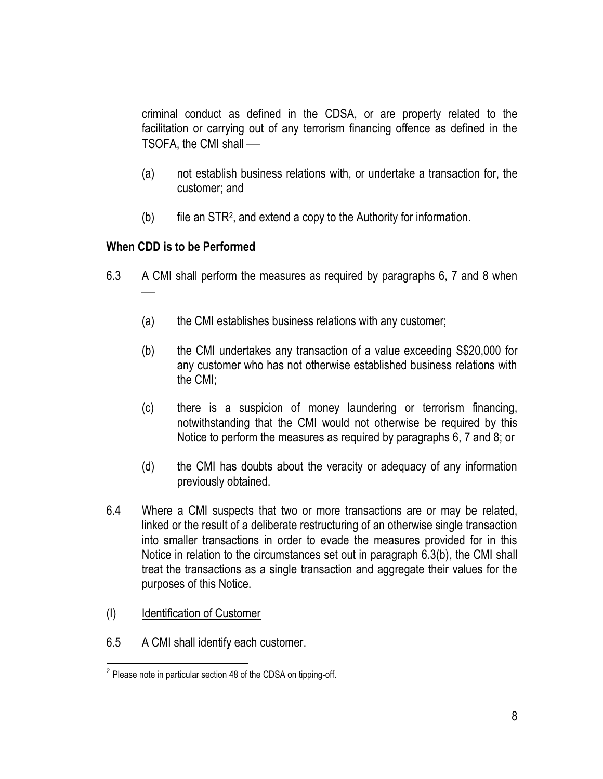criminal conduct as defined in the CDSA, or are property related to the facilitation or carrying out of any terrorism financing offence as defined in the TSOFA, the CMI shall

- (a) not establish business relations with, or undertake a transaction for, the customer; and
- (b) file an STR<sup>2</sup> , and extend a copy to the Authority for information.

### **When CDD is to be Performed**

- 6.3 A CMI shall perform the measures as required by paragraphs 6, 7 and 8 when
	- (a) the CMI establishes business relations with any customer;
	- (b) the CMI undertakes any transaction of a value exceeding S\$20,000 for any customer who has not otherwise established business relations with the CMI;
	- (c) there is a suspicion of money laundering or terrorism financing, notwithstanding that the CMI would not otherwise be required by this Notice to perform the measures as required by paragraphs 6, 7 and 8; or
	- (d) the CMI has doubts about the veracity or adequacy of any information previously obtained.
- 6.4 Where a CMI suspects that two or more transactions are or may be related, linked or the result of a deliberate restructuring of an otherwise single transaction into smaller transactions in order to evade the measures provided for in this Notice in relation to the circumstances set out in paragraph 6.3(b), the CMI shall treat the transactions as a single transaction and aggregate their values for the purposes of this Notice.
- (I) Identification of Customer
- 6.5 A CMI shall identify each customer.

 $\overline{a}$  $2$  Please note in particular section 48 of the CDSA on tipping-off.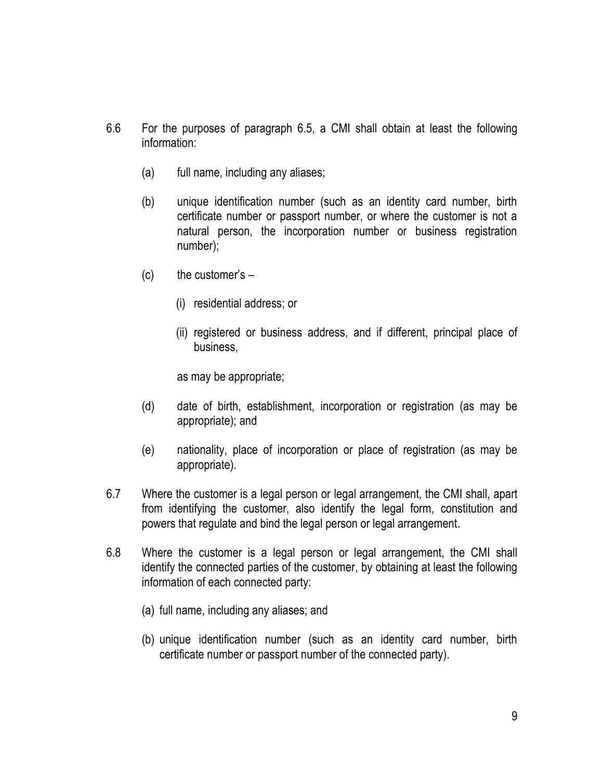- 6.6 For the purposes of paragraph 6.5, a CMI shall obtain at least the following information:
	- (a) full name, including any aliases;
	- (b) unique identification number (such as an identity card number, birth certificate number or passport number, or where the customer is not a natural person, the incorporation number or business registration number);
	- $(c)$  the customer's  $-$ 
		- (i) residential address; or
		- (ii) registered or business address, and if different, principal place of business,

as may be appropriate;

- (d) date of birth, establishment, incorporation or registration (as may be appropriate); and
- (e) nationality, place of incorporation or place of registration (as may be appropriate).
- 6.7 Where the customer is a legal person or legal arrangement, the CMI shall, apart from identifying the customer, also identify the legal form, constitution and powers that regulate and bind the legal person or legal arrangement.
- 6.8 Where the customer is a legal person or legal arrangement, the CMI shall identify the connected parties of the customer, by obtaining at least the following information of each connected party:
	- (a) full name, including any aliases; and
	- (b) unique identification number (such as an identity card number, birth certificate number or passport number of the connected party).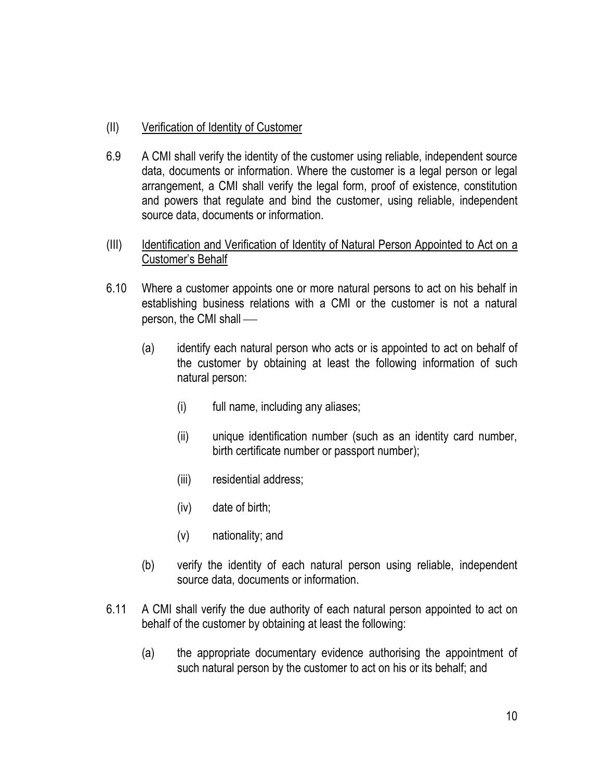### (II) Verification of Identity of Customer

- 6.9 A CMI shall verify the identity of the customer using reliable, independent source data, documents or information. Where the customer is a legal person or legal arrangement, a CMI shall verify the legal form, proof of existence, constitution and powers that regulate and bind the customer, using reliable, independent source data, documents or information.
- (III) Identification and Verification of Identity of Natural Person Appointed to Act on a Customer's Behalf
- 6.10 Where a customer appoints one or more natural persons to act on his behalf in establishing business relations with a CMI or the customer is not a natural person, the CMI shall
	- (a) identify each natural person who acts or is appointed to act on behalf of the customer by obtaining at least the following information of such natural person:
		- (i) full name, including any aliases;
		- (ii) unique identification number (such as an identity card number, birth certificate number or passport number);
		- (iii) residential address;
		- (iv) date of birth;
		- (v) nationality; and
	- (b) verify the identity of each natural person using reliable, independent source data, documents or information.
- 6.11 A CMI shall verify the due authority of each natural person appointed to act on behalf of the customer by obtaining at least the following:
	- (a) the appropriate documentary evidence authorising the appointment of such natural person by the customer to act on his or its behalf; and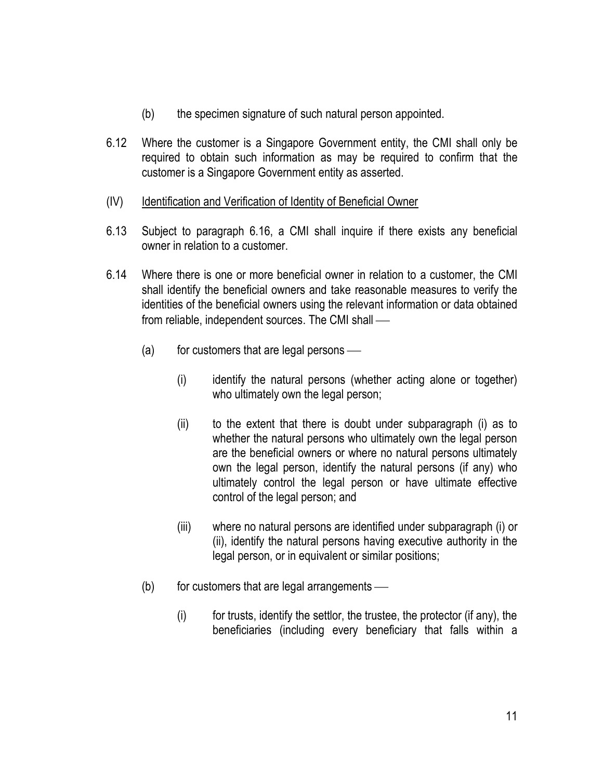- (b) the specimen signature of such natural person appointed.
- 6.12 Where the customer is a Singapore Government entity, the CMI shall only be required to obtain such information as may be required to confirm that the customer is a Singapore Government entity as asserted.

### (IV) Identification and Verification of Identity of Beneficial Owner

- 6.13 Subject to paragraph 6.16, a CMI shall inquire if there exists any beneficial owner in relation to a customer.
- 6.14 Where there is one or more beneficial owner in relation to a customer, the CMI shall identify the beneficial owners and take reasonable measures to verify the identities of the beneficial owners using the relevant information or data obtained from reliable, independent sources. The CMI shall
	- $(a)$  for customers that are legal persons
		- (i) identify the natural persons (whether acting alone or together) who ultimately own the legal person;
		- (ii) to the extent that there is doubt under subparagraph (i) as to whether the natural persons who ultimately own the legal person are the beneficial owners or where no natural persons ultimately own the legal person, identify the natural persons (if any) who ultimately control the legal person or have ultimate effective control of the legal person; and
		- (iii) where no natural persons are identified under subparagraph (i) or (ii), identify the natural persons having executive authority in the legal person, or in equivalent or similar positions;
	- $(b)$  for customers that are legal arrangements
		- $(i)$  for trusts, identify the settlor, the trustee, the protector (if any), the beneficiaries (including every beneficiary that falls within a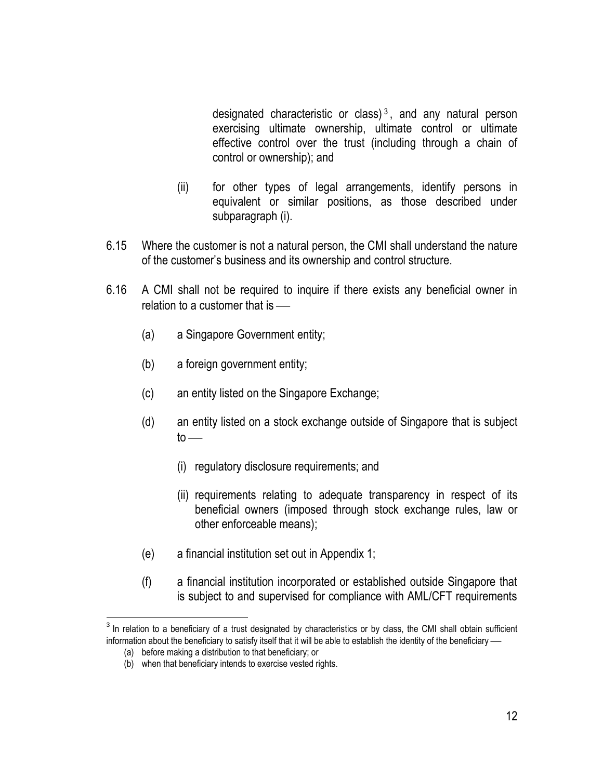designated characteristic or class)<sup>3</sup>, and any natural person exercising ultimate ownership, ultimate control or ultimate effective control over the trust (including through a chain of control or ownership); and

- (ii) for other types of legal arrangements, identify persons in equivalent or similar positions, as those described under subparagraph (i).
- 6.15 Where the customer is not a natural person, the CMI shall understand the nature of the customer's business and its ownership and control structure.
- 6.16 A CMI shall not be required to inquire if there exists any beneficial owner in relation to a customer that is
	- (a) a Singapore Government entity;
	- (b) a foreign government entity;
	- (c) an entity listed on the Singapore Exchange;
	- (d) an entity listed on a stock exchange outside of Singapore that is subject  $to$ 
		- (i) regulatory disclosure requirements; and
		- (ii) requirements relating to adequate transparency in respect of its beneficial owners (imposed through stock exchange rules, law or other enforceable means);
	- (e) a financial institution set out in Appendix 1;
	- (f) a financial institution incorporated or established outside Singapore that is subject to and supervised for compliance with AML/CFT requirements

 $\overline{a}$ 

 $3$  In relation to a beneficiary of a trust designated by characteristics or by class, the CMI shall obtain sufficient information about the beneficiary to satisfy itself that it will be able to establish the identity of the beneficiary -

<sup>(</sup>a) before making a distribution to that beneficiary; or

<sup>(</sup>b) when that beneficiary intends to exercise vested rights.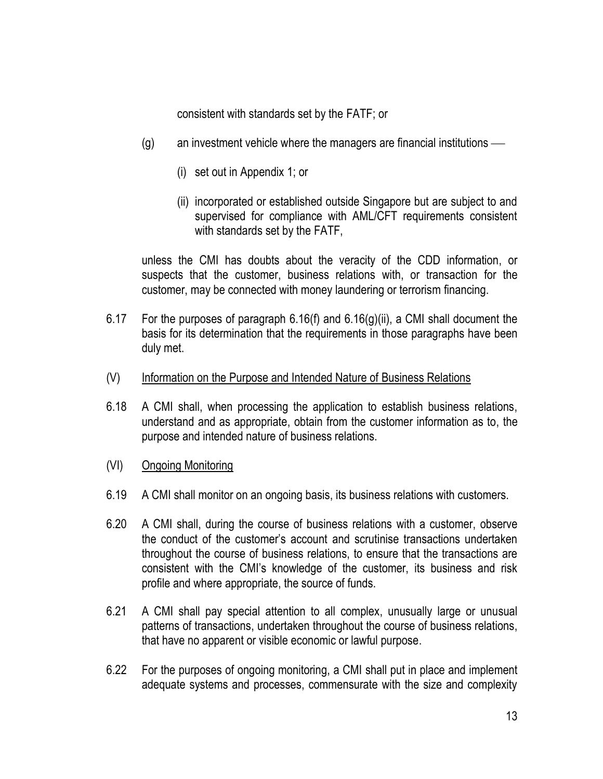consistent with standards set by the FATF; or

- (g) an investment vehicle where the managers are financial institutions
	- (i) set out in Appendix 1; or
	- (ii) incorporated or established outside Singapore but are subject to and supervised for compliance with AML/CFT requirements consistent with standards set by the FATF,

unless the CMI has doubts about the veracity of the CDD information, or suspects that the customer, business relations with, or transaction for the customer, may be connected with money laundering or terrorism financing.

- 6.17 For the purposes of paragraph 6.16(f) and 6.16(g)(ii), a CMI shall document the basis for its determination that the requirements in those paragraphs have been duly met.
- (V) Information on the Purpose and Intended Nature of Business Relations
- 6.18 A CMI shall, when processing the application to establish business relations, understand and as appropriate, obtain from the customer information as to, the purpose and intended nature of business relations.
- (VI) Ongoing Monitoring
- 6.19 A CMI shall monitor on an ongoing basis, its business relations with customers.
- 6.20 A CMI shall, during the course of business relations with a customer, observe the conduct of the customer's account and scrutinise transactions undertaken throughout the course of business relations, to ensure that the transactions are consistent with the CMI's knowledge of the customer, its business and risk profile and where appropriate, the source of funds.
- 6.21 A CMI shall pay special attention to all complex, unusually large or unusual patterns of transactions, undertaken throughout the course of business relations, that have no apparent or visible economic or lawful purpose.
- 6.22 For the purposes of ongoing monitoring, a CMI shall put in place and implement adequate systems and processes, commensurate with the size and complexity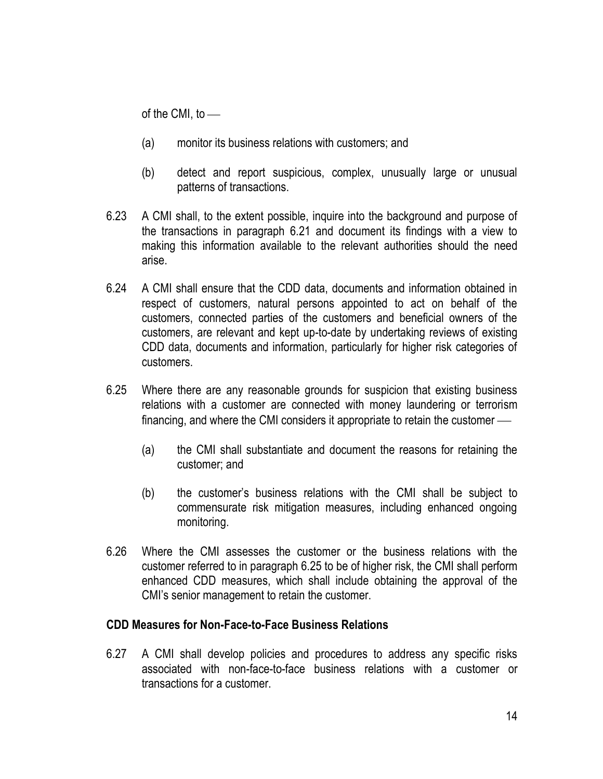of the CMI, to

- (a) monitor its business relations with customers; and
- (b) detect and report suspicious, complex, unusually large or unusual patterns of transactions.
- 6.23 A CMI shall, to the extent possible, inquire into the background and purpose of the transactions in paragraph 6.21 and document its findings with a view to making this information available to the relevant authorities should the need arise.
- 6.24 A CMI shall ensure that the CDD data, documents and information obtained in respect of customers, natural persons appointed to act on behalf of the customers, connected parties of the customers and beneficial owners of the customers, are relevant and kept up-to-date by undertaking reviews of existing CDD data, documents and information, particularly for higher risk categories of customers.
- 6.25 Where there are any reasonable grounds for suspicion that existing business relations with a customer are connected with money laundering or terrorism financing, and where the CMI considers it appropriate to retain the customer
	- (a) the CMI shall substantiate and document the reasons for retaining the customer; and
	- (b) the customer's business relations with the CMI shall be subject to commensurate risk mitigation measures, including enhanced ongoing monitoring.
- 6.26 Where the CMI assesses the customer or the business relations with the customer referred to in paragraph 6.25 to be of higher risk, the CMI shall perform enhanced CDD measures, which shall include obtaining the approval of the CMI's senior management to retain the customer.

#### **CDD Measures for Non-Face-to-Face Business Relations**

6.27 A CMI shall develop policies and procedures to address any specific risks associated with non-face-to-face business relations with a customer or transactions for a customer.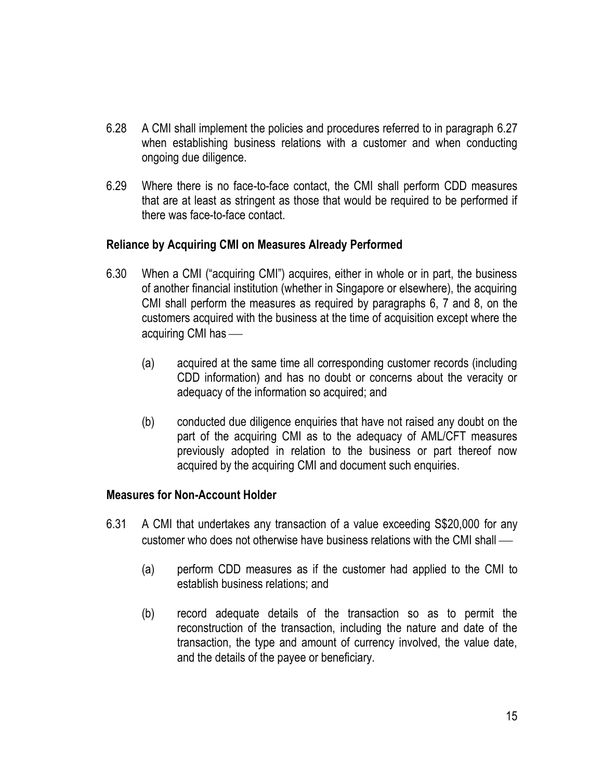- 6.28 A CMI shall implement the policies and procedures referred to in paragraph 6.27 when establishing business relations with a customer and when conducting ongoing due diligence.
- 6.29 Where there is no face-to-face contact, the CMI shall perform CDD measures that are at least as stringent as those that would be required to be performed if there was face-to-face contact.

### **Reliance by Acquiring CMI on Measures Already Performed**

- 6.30 When a CMI ("acquiring CMI") acquires, either in whole or in part, the business of another financial institution (whether in Singapore or elsewhere), the acquiring CMI shall perform the measures as required by paragraphs 6, 7 and 8, on the customers acquired with the business at the time of acquisition except where the acquiring CMI has
	- (a) acquired at the same time all corresponding customer records (including CDD information) and has no doubt or concerns about the veracity or adequacy of the information so acquired; and
	- (b) conducted due diligence enquiries that have not raised any doubt on the part of the acquiring CMI as to the adequacy of AML/CFT measures previously adopted in relation to the business or part thereof now acquired by the acquiring CMI and document such enquiries.

#### **Measures for Non-Account Holder**

- 6.31 A CMI that undertakes any transaction of a value exceeding S\$20,000 for any customer who does not otherwise have business relations with the CMI shall
	- (a) perform CDD measures as if the customer had applied to the CMI to establish business relations; and
	- (b) record adequate details of the transaction so as to permit the reconstruction of the transaction, including the nature and date of the transaction, the type and amount of currency involved, the value date, and the details of the payee or beneficiary.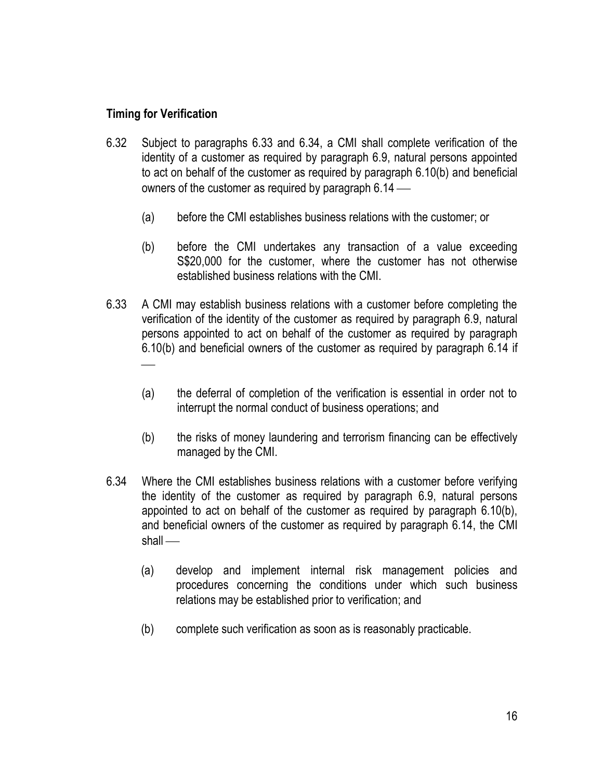### **Timing for Verification**

- 6.32 Subject to paragraphs 6.33 and 6.34, a CMI shall complete verification of the identity of a customer as required by paragraph 6.9, natural persons appointed to act on behalf of the customer as required by paragraph 6.10(b) and beneficial owners of the customer as required by paragraph 6.14
	- (a) before the CMI establishes business relations with the customer; or
	- (b) before the CMI undertakes any transaction of a value exceeding S\$20,000 for the customer, where the customer has not otherwise established business relations with the CMI.
- 6.33 A CMI may establish business relations with a customer before completing the verification of the identity of the customer as required by paragraph 6.9, natural persons appointed to act on behalf of the customer as required by paragraph 6.10(b) and beneficial owners of the customer as required by paragraph 6.14 if
	- (a) the deferral of completion of the verification is essential in order not to interrupt the normal conduct of business operations; and
	- (b) the risks of money laundering and terrorism financing can be effectively managed by the CMI.
- 6.34 Where the CMI establishes business relations with a customer before verifying the identity of the customer as required by paragraph 6.9, natural persons appointed to act on behalf of the customer as required by paragraph 6.10(b), and beneficial owners of the customer as required by paragraph 6.14, the CMI shall —
	- (a) develop and implement internal risk management policies and procedures concerning the conditions under which such business relations may be established prior to verification; and
	- (b) complete such verification as soon as is reasonably practicable.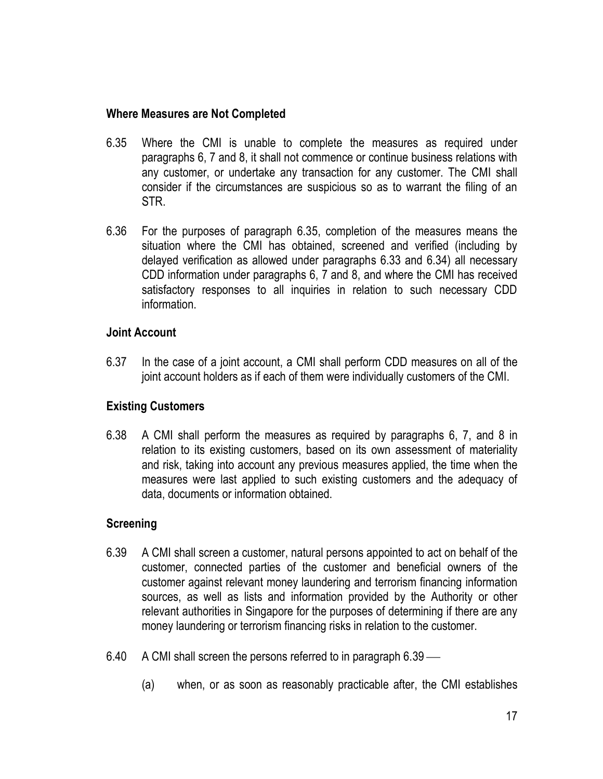#### **Where Measures are Not Completed**

- 6.35 Where the CMI is unable to complete the measures as required under paragraphs 6, 7 and 8, it shall not commence or continue business relations with any customer, or undertake any transaction for any customer. The CMI shall consider if the circumstances are suspicious so as to warrant the filing of an STR.
- 6.36 For the purposes of paragraph 6.35, completion of the measures means the situation where the CMI has obtained, screened and verified (including by delayed verification as allowed under paragraphs 6.33 and 6.34) all necessary CDD information under paragraphs 6, 7 and 8, and where the CMI has received satisfactory responses to all inquiries in relation to such necessary CDD information.

### **Joint Account**

6.37 In the case of a joint account, a CMI shall perform CDD measures on all of the joint account holders as if each of them were individually customers of the CMI.

### **Existing Customers**

6.38 A CMI shall perform the measures as required by paragraphs 6, 7, and 8 in relation to its existing customers, based on its own assessment of materiality and risk, taking into account any previous measures applied, the time when the measures were last applied to such existing customers and the adequacy of data, documents or information obtained.

### **Screening**

- 6.39 A CMI shall screen a customer, natural persons appointed to act on behalf of the customer, connected parties of the customer and beneficial owners of the customer against relevant money laundering and terrorism financing information sources, as well as lists and information provided by the Authority or other relevant authorities in Singapore for the purposes of determining if there are any money laundering or terrorism financing risks in relation to the customer.
- 6.40 A CMI shall screen the persons referred to in paragraph 6.39
	- (a) when, or as soon as reasonably practicable after, the CMI establishes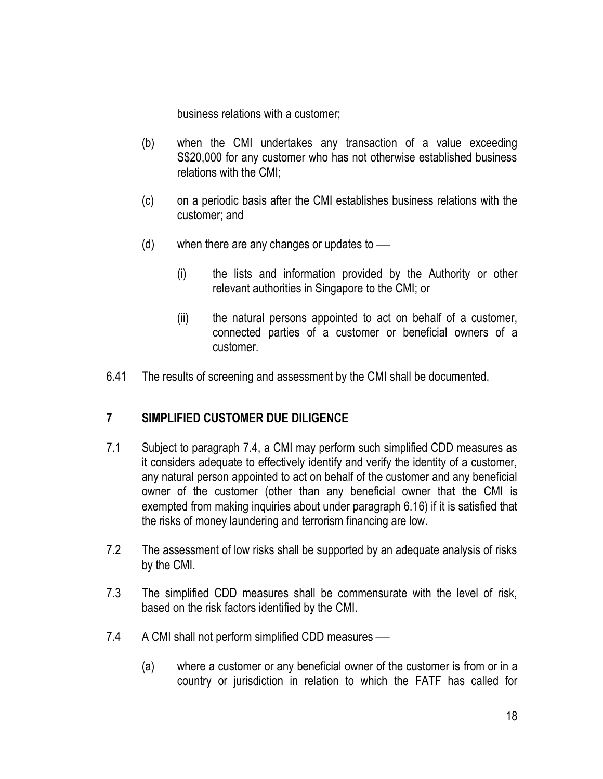business relations with a customer;

- (b) when the CMI undertakes any transaction of a value exceeding S\$20,000 for any customer who has not otherwise established business relations with the CMI;
- (c) on a periodic basis after the CMI establishes business relations with the customer; and
- (d) when there are any changes or updates to
	- (i) the lists and information provided by the Authority or other relevant authorities in Singapore to the CMI; or
	- (ii) the natural persons appointed to act on behalf of a customer, connected parties of a customer or beneficial owners of a customer.
- 6.41 The results of screening and assessment by the CMI shall be documented.

## **7 SIMPLIFIED CUSTOMER DUE DILIGENCE**

- 7.1 Subject to paragraph 7.4, a CMI may perform such simplified CDD measures as it considers adequate to effectively identify and verify the identity of a customer, any natural person appointed to act on behalf of the customer and any beneficial owner of the customer (other than any beneficial owner that the CMI is exempted from making inquiries about under paragraph 6.16) if it is satisfied that the risks of money laundering and terrorism financing are low.
- 7.2 The assessment of low risks shall be supported by an adequate analysis of risks by the CMI.
- 7.3 The simplified CDD measures shall be commensurate with the level of risk, based on the risk factors identified by the CMI.
- 7.4 A CMI shall not perform simplified CDD measures
	- (a) where a customer or any beneficial owner of the customer is from or in a country or jurisdiction in relation to which the FATF has called for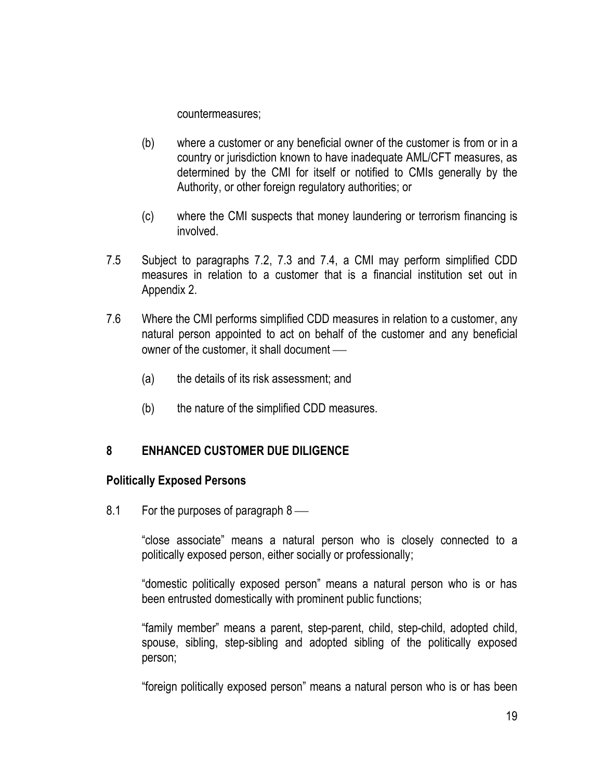countermeasures;

- (b) where a customer or any beneficial owner of the customer is from or in a country or jurisdiction known to have inadequate AML/CFT measures, as determined by the CMI for itself or notified to CMIs generally by the Authority, or other foreign regulatory authorities; or
- (c) where the CMI suspects that money laundering or terrorism financing is involved.
- 7.5 Subject to paragraphs 7.2, 7.3 and 7.4, a CMI may perform simplified CDD measures in relation to a customer that is a financial institution set out in Appendix 2.
- 7.6 Where the CMI performs simplified CDD measures in relation to a customer, any natural person appointed to act on behalf of the customer and any beneficial owner of the customer, it shall document
	- (a) the details of its risk assessment; and
	- (b) the nature of the simplified CDD measures.

## **8 ENHANCED CUSTOMER DUE DILIGENCE**

### **Politically Exposed Persons**

8.1 For the purposes of paragraph 8

"close associate" means a natural person who is closely connected to a politically exposed person, either socially or professionally;

"domestic politically exposed person" means a natural person who is or has been entrusted domestically with prominent public functions;

"family member" means a parent, step-parent, child, step-child, adopted child, spouse, sibling, step-sibling and adopted sibling of the politically exposed person;

"foreign politically exposed person" means a natural person who is or has been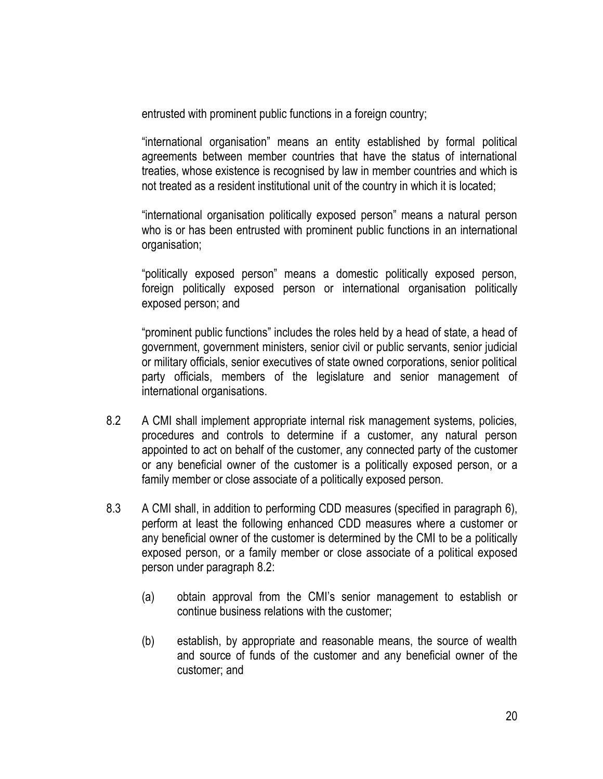entrusted with prominent public functions in a foreign country;

"international organisation" means an entity established by formal political agreements between member countries that have the status of international treaties, whose existence is recognised by law in member countries and which is not treated as a resident institutional unit of the country in which it is located;

"international organisation politically exposed person" means a natural person who is or has been entrusted with prominent public functions in an international organisation;

"politically exposed person" means a domestic politically exposed person, foreign politically exposed person or international organisation politically exposed person; and

"prominent public functions" includes the roles held by a head of state, a head of government, government ministers, senior civil or public servants, senior judicial or military officials, senior executives of state owned corporations, senior political party officials, members of the legislature and senior management of international organisations.

- 8.2 A CMI shall implement appropriate internal risk management systems, policies, procedures and controls to determine if a customer, any natural person appointed to act on behalf of the customer, any connected party of the customer or any beneficial owner of the customer is a politically exposed person, or a family member or close associate of a politically exposed person.
- 8.3 A CMI shall, in addition to performing CDD measures (specified in paragraph 6), perform at least the following enhanced CDD measures where a customer or any beneficial owner of the customer is determined by the CMI to be a politically exposed person, or a family member or close associate of a political exposed person under paragraph 8.2:
	- (a) obtain approval from the CMI's senior management to establish or continue business relations with the customer;
	- (b) establish, by appropriate and reasonable means, the source of wealth and source of funds of the customer and any beneficial owner of the customer; and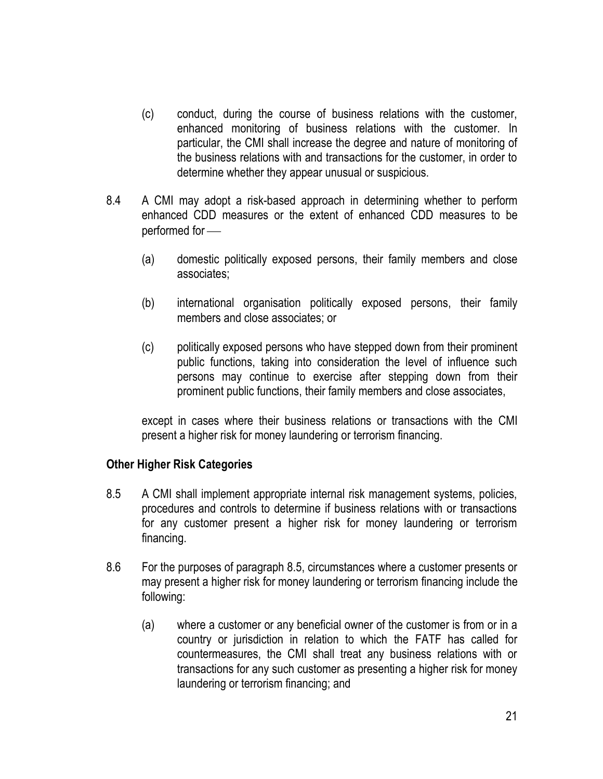- (c) conduct, during the course of business relations with the customer, enhanced monitoring of business relations with the customer. In particular, the CMI shall increase the degree and nature of monitoring of the business relations with and transactions for the customer, in order to determine whether they appear unusual or suspicious.
- 8.4 A CMI may adopt a risk-based approach in determining whether to perform enhanced CDD measures or the extent of enhanced CDD measures to be performed for
	- (a) domestic politically exposed persons, their family members and close associates;
	- (b) international organisation politically exposed persons, their family members and close associates; or
	- (c) politically exposed persons who have stepped down from their prominent public functions, taking into consideration the level of influence such persons may continue to exercise after stepping down from their prominent public functions, their family members and close associates,

except in cases where their business relations or transactions with the CMI present a higher risk for money laundering or terrorism financing.

### **Other Higher Risk Categories**

- 8.5 A CMI shall implement appropriate internal risk management systems, policies, procedures and controls to determine if business relations with or transactions for any customer present a higher risk for money laundering or terrorism financing.
- 8.6 For the purposes of paragraph 8.5, circumstances where a customer presents or may present a higher risk for money laundering or terrorism financing include the following:
	- (a) where a customer or any beneficial owner of the customer is from or in a country or jurisdiction in relation to which the FATF has called for countermeasures, the CMI shall treat any business relations with or transactions for any such customer as presenting a higher risk for money laundering or terrorism financing; and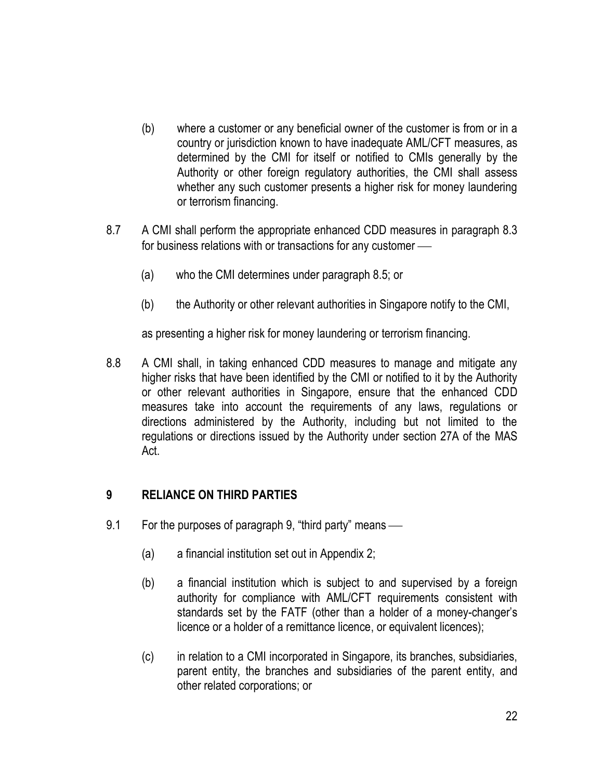- (b) where a customer or any beneficial owner of the customer is from or in a country or jurisdiction known to have inadequate AML/CFT measures, as determined by the CMI for itself or notified to CMIs generally by the Authority or other foreign regulatory authorities, the CMI shall assess whether any such customer presents a higher risk for money laundering or terrorism financing.
- 8.7 A CMI shall perform the appropriate enhanced CDD measures in paragraph 8.3 for business relations with or transactions for any customer
	- (a) who the CMI determines under paragraph 8.5; or
	- (b) the Authority or other relevant authorities in Singapore notify to the CMI,

as presenting a higher risk for money laundering or terrorism financing.

8.8 A CMI shall, in taking enhanced CDD measures to manage and mitigate any higher risks that have been identified by the CMI or notified to it by the Authority or other relevant authorities in Singapore, ensure that the enhanced CDD measures take into account the requirements of any laws, regulations or directions administered by the Authority, including but not limited to the regulations or directions issued by the Authority under section 27A of the MAS Act.

## **9 RELIANCE ON THIRD PARTIES**

- 9.1 For the purposes of paragraph 9, "third party" means
	- (a) a financial institution set out in Appendix 2;
	- (b) a financial institution which is subject to and supervised by a foreign authority for compliance with AML/CFT requirements consistent with standards set by the FATF (other than a holder of a money-changer's licence or a holder of a remittance licence, or equivalent licences);
	- (c) in relation to a CMI incorporated in Singapore, its branches, subsidiaries, parent entity, the branches and subsidiaries of the parent entity, and other related corporations; or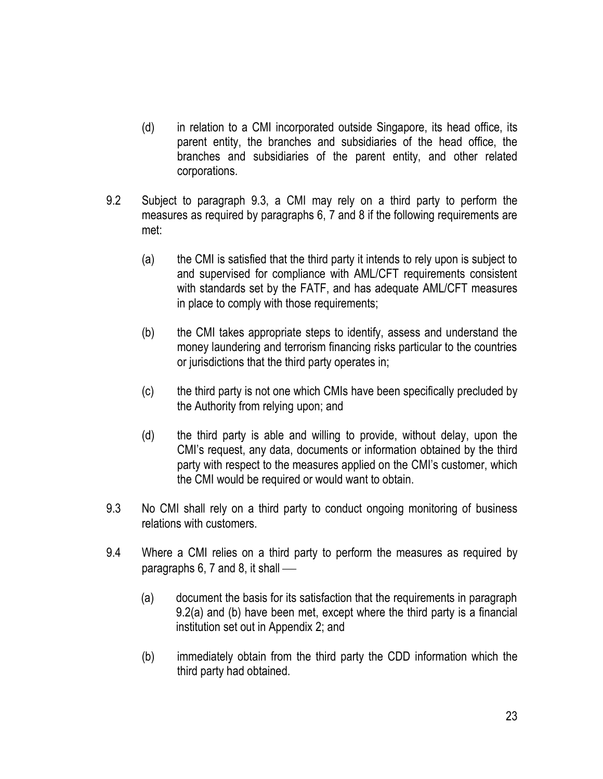- (d) in relation to a CMI incorporated outside Singapore, its head office, its parent entity, the branches and subsidiaries of the head office, the branches and subsidiaries of the parent entity, and other related corporations.
- 9.2 Subject to paragraph 9.3, a CMI may rely on a third party to perform the measures as required by paragraphs 6, 7 and 8 if the following requirements are met:
	- (a) the CMI is satisfied that the third party it intends to rely upon is subject to and supervised for compliance with AML/CFT requirements consistent with standards set by the FATF, and has adequate AML/CFT measures in place to comply with those requirements;
	- (b) the CMI takes appropriate steps to identify, assess and understand the money laundering and terrorism financing risks particular to the countries or jurisdictions that the third party operates in;
	- (c) the third party is not one which CMIs have been specifically precluded by the Authority from relying upon; and
	- (d) the third party is able and willing to provide, without delay, upon the CMI's request, any data, documents or information obtained by the third party with respect to the measures applied on the CMI's customer, which the CMI would be required or would want to obtain.
- 9.3 No CMI shall rely on a third party to conduct ongoing monitoring of business relations with customers.
- 9.4 Where a CMI relies on a third party to perform the measures as required by paragraphs 6, 7 and 8, it shall
	- (a) document the basis for its satisfaction that the requirements in paragraph 9.2(a) and (b) have been met, except where the third party is a financial institution set out in Appendix 2; and
	- (b) immediately obtain from the third party the CDD information which the third party had obtained.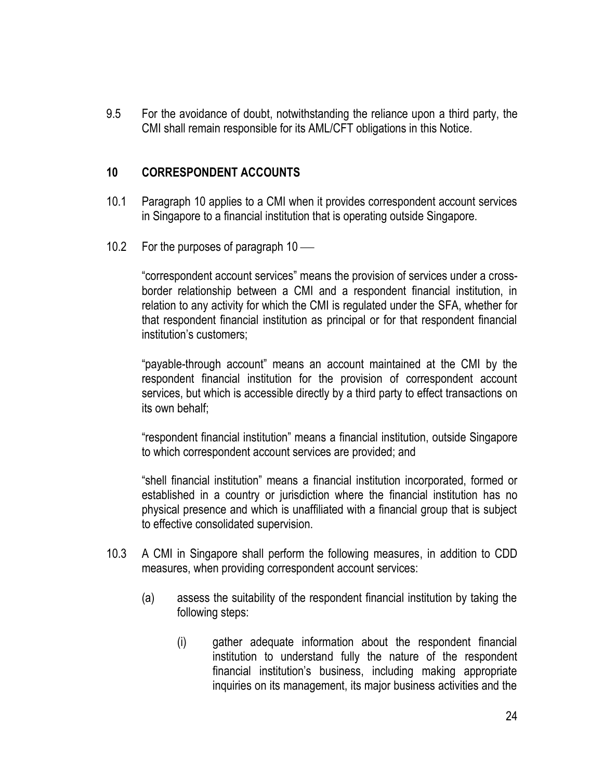9.5 For the avoidance of doubt, notwithstanding the reliance upon a third party, the CMI shall remain responsible for its AML/CFT obligations in this Notice.

### **10 CORRESPONDENT ACCOUNTS**

- 10.1 Paragraph 10 applies to a CMI when it provides correspondent account services in Singapore to a financial institution that is operating outside Singapore.
- 10.2 For the purposes of paragraph 10 —

"correspondent account services" means the provision of services under a crossborder relationship between a CMI and a respondent financial institution, in relation to any activity for which the CMI is regulated under the SFA, whether for that respondent financial institution as principal or for that respondent financial institution's customers;

"payable-through account" means an account maintained at the CMI by the respondent financial institution for the provision of correspondent account services, but which is accessible directly by a third party to effect transactions on its own behalf;

"respondent financial institution" means a financial institution, outside Singapore to which correspondent account services are provided; and

"shell financial institution" means a financial institution incorporated, formed or established in a country or jurisdiction where the financial institution has no physical presence and which is unaffiliated with a financial group that is subject to effective consolidated supervision.

- 10.3 A CMI in Singapore shall perform the following measures, in addition to CDD measures, when providing correspondent account services:
	- (a) assess the suitability of the respondent financial institution by taking the following steps:
		- (i) gather adequate information about the respondent financial institution to understand fully the nature of the respondent financial institution's business, including making appropriate inquiries on its management, its major business activities and the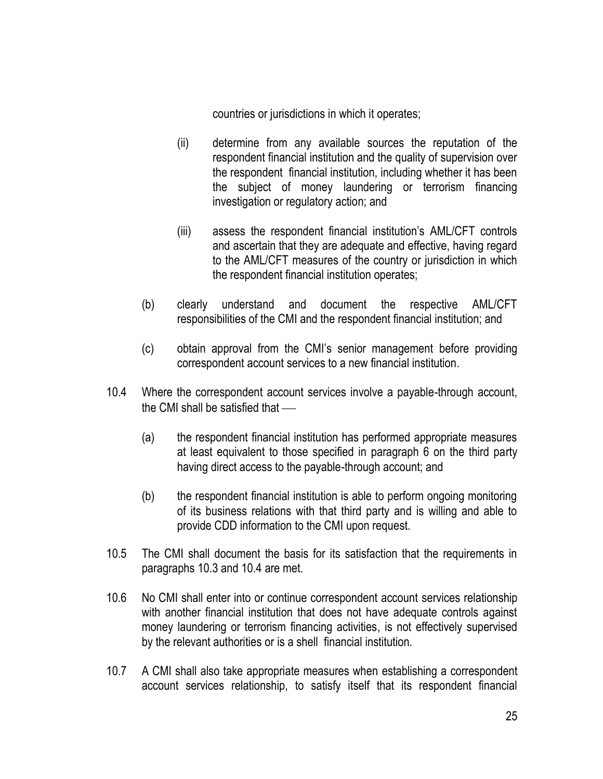countries or jurisdictions in which it operates;

- (ii) determine from any available sources the reputation of the respondent financial institution and the quality of supervision over the respondent financial institution, including whether it has been the subject of money laundering or terrorism financing investigation or regulatory action; and
- (iii) assess the respondent financial institution's AML/CFT controls and ascertain that they are adequate and effective, having regard to the AML/CFT measures of the country or jurisdiction in which the respondent financial institution operates;
- (b) clearly understand and document the respective AML/CFT responsibilities of the CMI and the respondent financial institution; and
- (c) obtain approval from the CMI's senior management before providing correspondent account services to a new financial institution.
- 10.4 Where the correspondent account services involve a payable-through account, the CMI shall be satisfied that
	- (a) the respondent financial institution has performed appropriate measures at least equivalent to those specified in paragraph 6 on the third party having direct access to the payable-through account; and
	- (b) the respondent financial institution is able to perform ongoing monitoring of its business relations with that third party and is willing and able to provide CDD information to the CMI upon request.
- 10.5 The CMI shall document the basis for its satisfaction that the requirements in paragraphs 10.3 and 10.4 are met.
- 10.6 No CMI shall enter into or continue correspondent account services relationship with another financial institution that does not have adequate controls against money laundering or terrorism financing activities, is not effectively supervised by the relevant authorities or is a shell financial institution.
- 10.7 A CMI shall also take appropriate measures when establishing a correspondent account services relationship, to satisfy itself that its respondent financial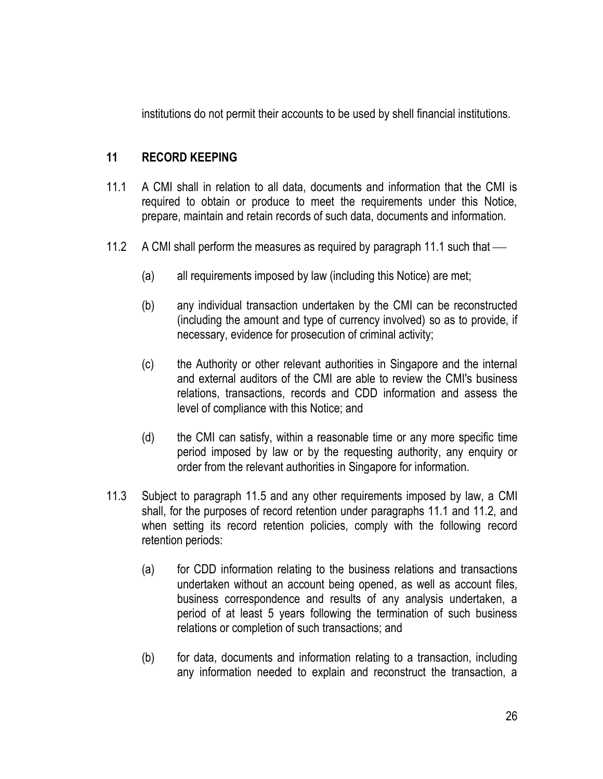institutions do not permit their accounts to be used by shell financial institutions.

## **11 RECORD KEEPING**

- 11.1 A CMI shall in relation to all data, documents and information that the CMI is required to obtain or produce to meet the requirements under this Notice, prepare, maintain and retain records of such data, documents and information.
- 11.2 A CMI shall perform the measures as required by paragraph 11.1 such that
	- (a) all requirements imposed by law (including this Notice) are met;
	- (b) any individual transaction undertaken by the CMI can be reconstructed (including the amount and type of currency involved) so as to provide, if necessary, evidence for prosecution of criminal activity;
	- (c) the Authority or other relevant authorities in Singapore and the internal and external auditors of the CMI are able to review the CMI's business relations, transactions, records and CDD information and assess the level of compliance with this Notice; and
	- (d) the CMI can satisfy, within a reasonable time or any more specific time period imposed by law or by the requesting authority, any enquiry or order from the relevant authorities in Singapore for information.
- 11.3 Subject to paragraph 11.5 and any other requirements imposed by law, a CMI shall, for the purposes of record retention under paragraphs 11.1 and 11.2, and when setting its record retention policies, comply with the following record retention periods:
	- (a) for CDD information relating to the business relations and transactions undertaken without an account being opened, as well as account files, business correspondence and results of any analysis undertaken, a period of at least 5 years following the termination of such business relations or completion of such transactions; and
	- (b) for data, documents and information relating to a transaction, including any information needed to explain and reconstruct the transaction, a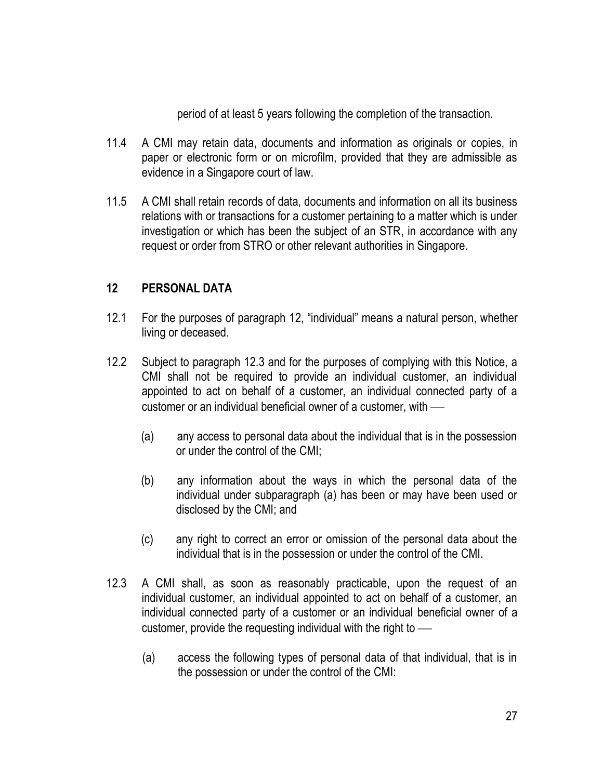period of at least 5 years following the completion of the transaction.

- 11.4 A CMI may retain data, documents and information as originals or copies, in paper or electronic form or on microfilm, provided that they are admissible as evidence in a Singapore court of law.
- 11.5 A CMI shall retain records of data, documents and information on all its business relations with or transactions for a customer pertaining to a matter which is under investigation or which has been the subject of an STR, in accordance with any request or order from STRO or other relevant authorities in Singapore.

### **12 PERSONAL DATA**

- 12.1 For the purposes of paragraph 12, "individual" means a natural person, whether living or deceased.
- 12.2 Subject to paragraph 12.3 and for the purposes of complying with this Notice, a CMI shall not be required to provide an individual customer, an individual appointed to act on behalf of a customer, an individual connected party of a customer or an individual beneficial owner of a customer, with
	- (a) any access to personal data about the individual that is in the possession or under the control of the CMI;
	- (b) any information about the ways in which the personal data of the individual under subparagraph (a) has been or may have been used or disclosed by the CMI; and
	- (c) any right to correct an error or omission of the personal data about the individual that is in the possession or under the control of the CMI.
- 12.3 A CMI shall, as soon as reasonably practicable, upon the request of an individual customer, an individual appointed to act on behalf of a customer, an individual connected party of a customer or an individual beneficial owner of a customer, provide the requesting individual with the right to
	- (a) access the following types of personal data of that individual, that is in the possession or under the control of the CMI: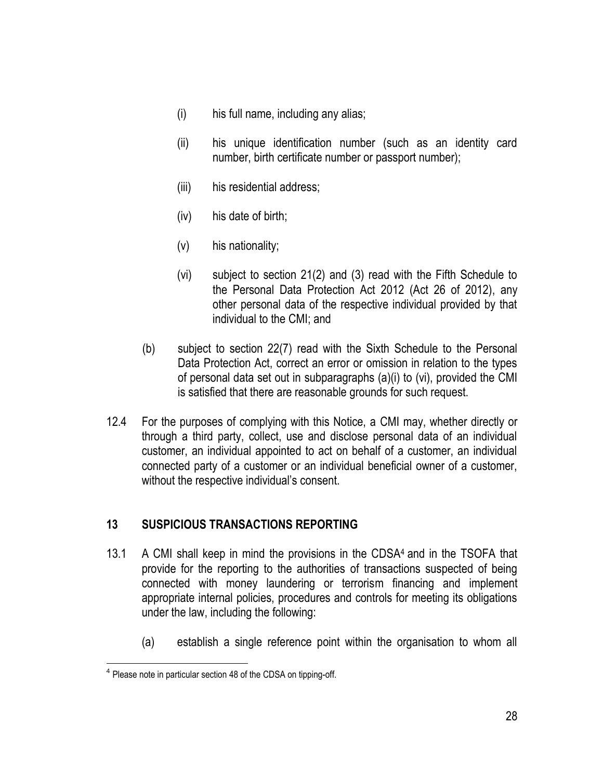- (i) his full name, including any alias;
- (ii) his unique identification number (such as an identity card number, birth certificate number or passport number);
- (iii) his residential address;
- (iv) his date of birth;
- (v) his nationality;
- (vi) subject to section 21(2) and (3) read with the Fifth Schedule to the Personal Data Protection Act 2012 (Act 26 of 2012), any other personal data of the respective individual provided by that individual to the CMI; and
- (b) subject to section 22(7) read with the Sixth Schedule to the Personal Data Protection Act, correct an error or omission in relation to the types of personal data set out in subparagraphs (a)(i) to (vi), provided the CMI is satisfied that there are reasonable grounds for such request.
- 12.4 For the purposes of complying with this Notice, a CMI may, whether directly or through a third party, collect, use and disclose personal data of an individual customer, an individual appointed to act on behalf of a customer, an individual connected party of a customer or an individual beneficial owner of a customer, without the respective individual's consent.

## **13 SUSPICIOUS TRANSACTIONS REPORTING**

- 13.1 A CMI shall keep in mind the provisions in the CDSA4 and in the TSOFA that provide for the reporting to the authorities of transactions suspected of being connected with money laundering or terrorism financing and implement appropriate internal policies, procedures and controls for meeting its obligations under the law, including the following:
	- (a) establish a single reference point within the organisation to whom all

 $\overline{a}$ <sup>4</sup> Please note in particular section 48 of the CDSA on tipping-off.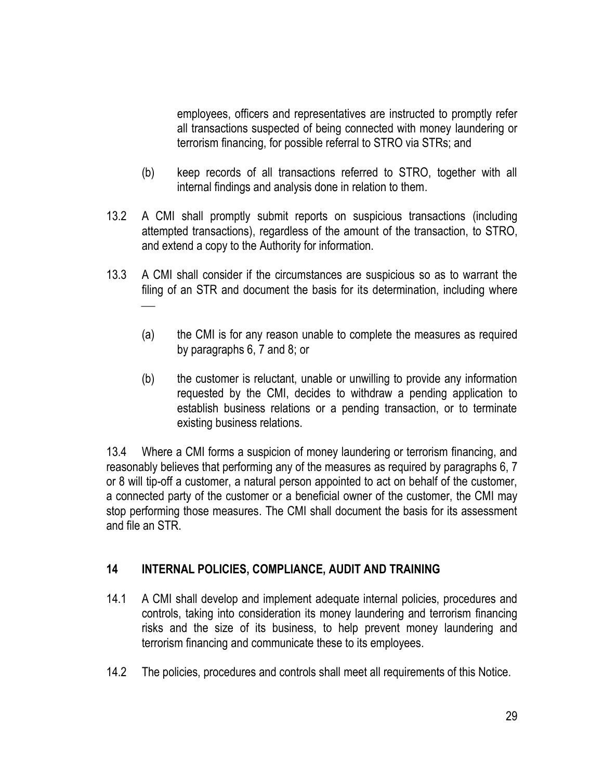employees, officers and representatives are instructed to promptly refer all transactions suspected of being connected with money laundering or terrorism financing, for possible referral to STRO via STRs; and

- (b) keep records of all transactions referred to STRO, together with all internal findings and analysis done in relation to them.
- 13.2 A CMI shall promptly submit reports on suspicious transactions (including attempted transactions), regardless of the amount of the transaction, to STRO, and extend a copy to the Authority for information.
- 13.3 A CMI shall consider if the circumstances are suspicious so as to warrant the filing of an STR and document the basis for its determination, including where
	- (a) the CMI is for any reason unable to complete the measures as required by paragraphs 6, 7 and 8; or
	- (b) the customer is reluctant, unable or unwilling to provide any information requested by the CMI, decides to withdraw a pending application to establish business relations or a pending transaction, or to terminate existing business relations.

13.4 Where a CMI forms a suspicion of money laundering or terrorism financing, and reasonably believes that performing any of the measures as required by paragraphs 6, 7 or 8 will tip-off a customer, a natural person appointed to act on behalf of the customer, a connected party of the customer or a beneficial owner of the customer, the CMI may stop performing those measures. The CMI shall document the basis for its assessment and file an STR.

## **14 INTERNAL POLICIES, COMPLIANCE, AUDIT AND TRAINING**

- 14.1 A CMI shall develop and implement adequate internal policies, procedures and controls, taking into consideration its money laundering and terrorism financing risks and the size of its business, to help prevent money laundering and terrorism financing and communicate these to its employees.
- 14.2 The policies, procedures and controls shall meet all requirements of this Notice.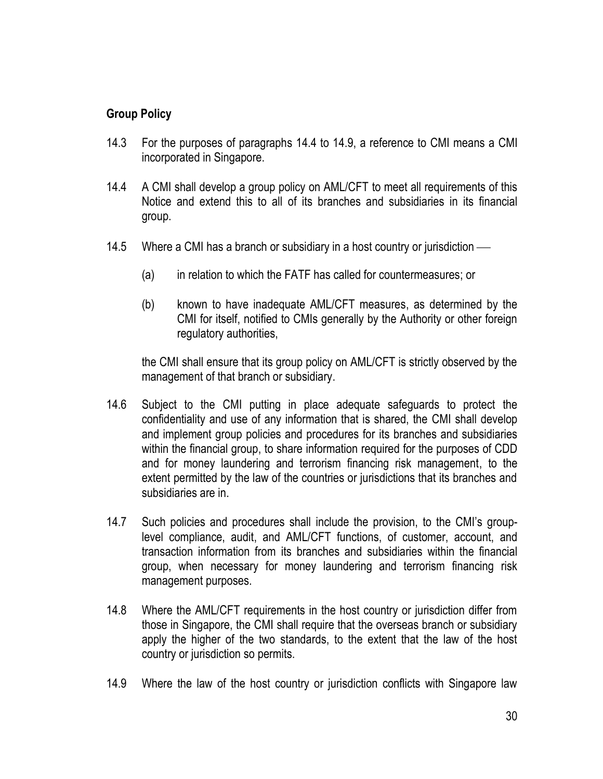### **Group Policy**

- 14.3 For the purposes of paragraphs 14.4 to 14.9, a reference to CMI means a CMI incorporated in Singapore.
- 14.4 A CMI shall develop a group policy on AML/CFT to meet all requirements of this Notice and extend this to all of its branches and subsidiaries in its financial group.
- 14.5 Where a CMI has a branch or subsidiary in a host country or jurisdiction
	- (a) in relation to which the FATF has called for countermeasures; or
	- (b) known to have inadequate AML/CFT measures, as determined by the CMI for itself, notified to CMIs generally by the Authority or other foreign regulatory authorities,

the CMI shall ensure that its group policy on AML/CFT is strictly observed by the management of that branch or subsidiary.

- 14.6 Subject to the CMI putting in place adequate safeguards to protect the confidentiality and use of any information that is shared, the CMI shall develop and implement group policies and procedures for its branches and subsidiaries within the financial group, to share information required for the purposes of CDD and for money laundering and terrorism financing risk management, to the extent permitted by the law of the countries or jurisdictions that its branches and subsidiaries are in.
- 14.7 Such policies and procedures shall include the provision, to the CMI's grouplevel compliance, audit, and AML/CFT functions, of customer, account, and transaction information from its branches and subsidiaries within the financial group, when necessary for money laundering and terrorism financing risk management purposes.
- 14.8 Where the AML/CFT requirements in the host country or jurisdiction differ from those in Singapore, the CMI shall require that the overseas branch or subsidiary apply the higher of the two standards, to the extent that the law of the host country or jurisdiction so permits.
- 14.9 Where the law of the host country or jurisdiction conflicts with Singapore law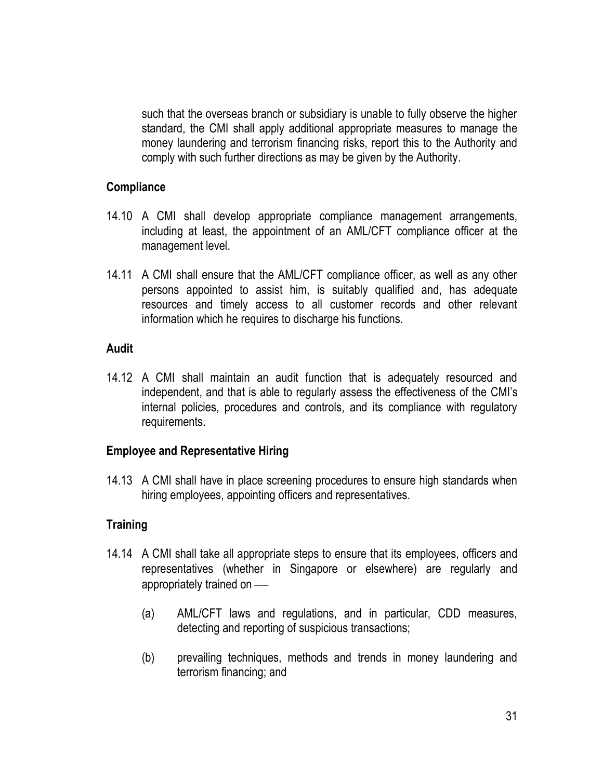such that the overseas branch or subsidiary is unable to fully observe the higher standard, the CMI shall apply additional appropriate measures to manage the money laundering and terrorism financing risks, report this to the Authority and comply with such further directions as may be given by the Authority.

#### **Compliance**

- 14.10 A CMI shall develop appropriate compliance management arrangements, including at least, the appointment of an AML/CFT compliance officer at the management level.
- 14.11 A CMI shall ensure that the AML/CFT compliance officer, as well as any other persons appointed to assist him, is suitably qualified and, has adequate resources and timely access to all customer records and other relevant information which he requires to discharge his functions.

#### **Audit**

14.12 A CMI shall maintain an audit function that is adequately resourced and independent, and that is able to regularly assess the effectiveness of the CMI's internal policies, procedures and controls, and its compliance with regulatory requirements.

### **Employee and Representative Hiring**

14.13 A CMI shall have in place screening procedures to ensure high standards when hiring employees, appointing officers and representatives.

### **Training**

- 14.14 A CMI shall take all appropriate steps to ensure that its employees, officers and representatives (whether in Singapore or elsewhere) are regularly and appropriately trained on
	- (a) AML/CFT laws and regulations, and in particular, CDD measures, detecting and reporting of suspicious transactions;
	- (b) prevailing techniques, methods and trends in money laundering and terrorism financing; and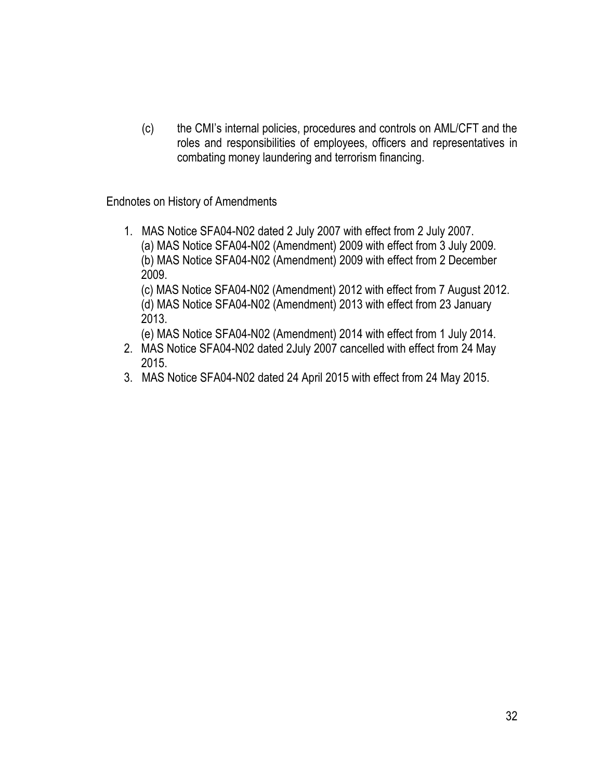(c) the CMI's internal policies, procedures and controls on AML/CFT and the roles and responsibilities of employees, officers and representatives in combating money laundering and terrorism financing.

Endnotes on History of Amendments

1. MAS Notice SFA04-N02 dated 2 July 2007 with effect from 2 July 2007. (a) MAS Notice SFA04-N02 (Amendment) 2009 with effect from 3 July 2009. (b) MAS Notice SFA04-N02 (Amendment) 2009 with effect from 2 December 2009. (c) MAS Notice SFA04-N02 (Amendment) 2012 with effect from 7 August 2012. (d) MAS Notice SFA04-N02 (Amendment) 2013 with effect from 23 January 2013.

(e) MAS Notice SFA04-N02 (Amendment) 2014 with effect from 1 July 2014.

- 2. MAS Notice SFA04-N02 dated 2July 2007 cancelled with effect from 24 May 2015.
- 3. MAS Notice SFA04-N02 dated 24 April 2015 with effect from 24 May 2015.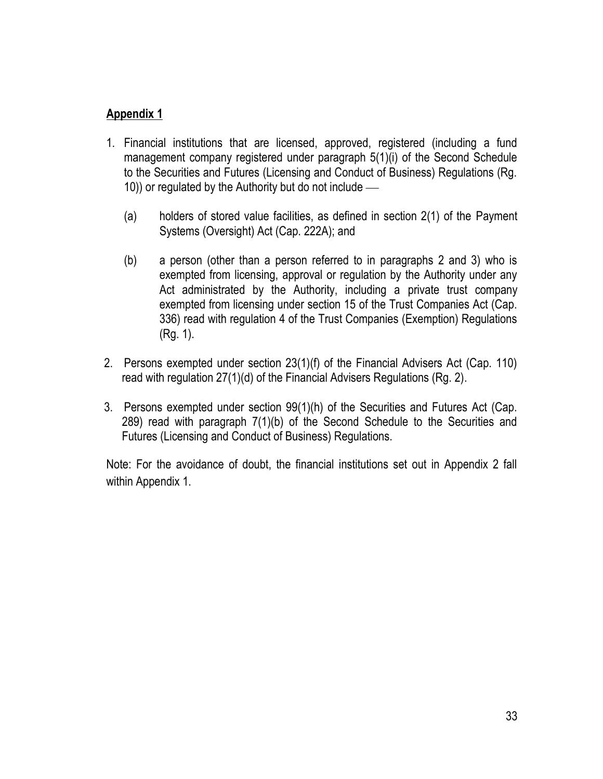# **Appendix 1**

- 1. Financial institutions that are licensed, approved, registered (including a fund management company registered under paragraph 5(1)(i) of the Second Schedule to the Securities and Futures (Licensing and Conduct of Business) Regulations (Rg. 10)) or regulated by the Authority but do not include
	- (a) holders of stored value facilities, as defined in section 2(1) of the Payment Systems (Oversight) Act (Cap. 222A); and
	- (b) a person (other than a person referred to in paragraphs 2 and 3) who is exempted from licensing, approval or regulation by the Authority under any Act administrated by the Authority, including a private trust company exempted from licensing under section 15 of the Trust Companies Act (Cap. 336) read with regulation 4 of the Trust Companies (Exemption) Regulations (Rg. 1).
- 2. Persons exempted under section 23(1)(f) of the Financial Advisers Act (Cap. 110) read with regulation 27(1)(d) of the Financial Advisers Regulations (Rg. 2).
- 3. Persons exempted under section 99(1)(h) of the Securities and Futures Act (Cap. 289) read with paragraph 7(1)(b) of the Second Schedule to the Securities and Futures (Licensing and Conduct of Business) Regulations.

Note: For the avoidance of doubt, the financial institutions set out in Appendix 2 fall within Appendix 1.